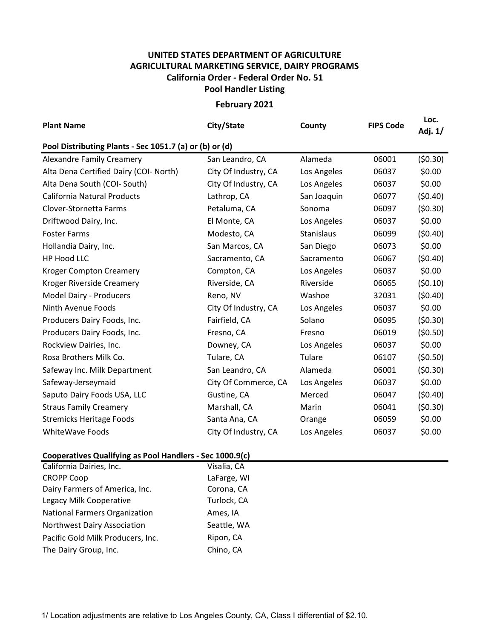## UNITED STATES DEPARTMENT OF AGRICULTURE AGRICULTURAL MARKETING SERVICE, DAIRY PROGRAMS Pool Handler Listing California Order - Federal Order No. 51

February 2021

| <b>Plant Name</b>                                       | City/State           | County      | <b>FIPS Code</b> | Loc.<br>Adj. 1/ |  |  |  |  |
|---------------------------------------------------------|----------------------|-------------|------------------|-----------------|--|--|--|--|
| Pool Distributing Plants - Sec 1051.7 (a) or (b) or (d) |                      |             |                  |                 |  |  |  |  |
| <b>Alexandre Family Creamery</b>                        | San Leandro, CA      | Alameda     | 06001            | (50.30)         |  |  |  |  |
| Alta Dena Certified Dairy (COI- North)                  | City Of Industry, CA | Los Angeles | 06037            | \$0.00          |  |  |  |  |
| Alta Dena South (COI- South)                            | City Of Industry, CA | Los Angeles | 06037            | \$0.00          |  |  |  |  |
| <b>California Natural Products</b>                      | Lathrop, CA          | San Joaquin | 06077            | (50.40)         |  |  |  |  |
| Clover-Stornetta Farms                                  | Petaluma, CA         | Sonoma      | 06097            | (50.30)         |  |  |  |  |
| Driftwood Dairy, Inc.                                   | El Monte, CA         | Los Angeles | 06037            | \$0.00          |  |  |  |  |
| <b>Foster Farms</b>                                     | Modesto, CA          | Stanislaus  | 06099            | (50.40)         |  |  |  |  |
| Hollandia Dairy, Inc.                                   | San Marcos, CA       | San Diego   | 06073            | \$0.00          |  |  |  |  |
| <b>HP Hood LLC</b>                                      | Sacramento, CA       | Sacramento  | 06067            | (50.40)         |  |  |  |  |
| <b>Kroger Compton Creamery</b>                          | Compton, CA          | Los Angeles | 06037            | \$0.00          |  |  |  |  |
| Kroger Riverside Creamery                               | Riverside, CA        | Riverside   | 06065            | (50.10)         |  |  |  |  |
| Model Dairy - Producers                                 | Reno, NV             | Washoe      | 32031            | (50.40)         |  |  |  |  |
| Ninth Avenue Foods                                      | City Of Industry, CA | Los Angeles | 06037            | \$0.00          |  |  |  |  |
| Producers Dairy Foods, Inc.                             | Fairfield, CA        | Solano      | 06095            | (50.30)         |  |  |  |  |
| Producers Dairy Foods, Inc.                             | Fresno, CA           | Fresno      | 06019            | (50.50)         |  |  |  |  |
| Rockview Dairies, Inc.                                  | Downey, CA           | Los Angeles | 06037            | \$0.00          |  |  |  |  |
| Rosa Brothers Milk Co.                                  | Tulare, CA           | Tulare      | 06107            | (50.50)         |  |  |  |  |
| Safeway Inc. Milk Department                            | San Leandro, CA      | Alameda     | 06001            | (50.30)         |  |  |  |  |
| Safeway-Jerseymaid                                      | City Of Commerce, CA | Los Angeles | 06037            | \$0.00          |  |  |  |  |
| Saputo Dairy Foods USA, LLC                             | Gustine, CA          | Merced      | 06047            | (50.40)         |  |  |  |  |
| <b>Straus Family Creamery</b>                           | Marshall, CA         | Marin       | 06041            | (50.30)         |  |  |  |  |
| <b>Stremicks Heritage Foods</b>                         | Santa Ana, CA        | Orange      | 06059            | \$0.00          |  |  |  |  |
| <b>WhiteWave Foods</b>                                  | City Of Industry, CA | Los Angeles | 06037            | \$0.00          |  |  |  |  |

## Cooperatives Qualifying as Pool Handlers - Sec 1000.9(c)

| California Dairies, Inc.             | Visalia, CA |
|--------------------------------------|-------------|
| <b>CROPP Coop</b>                    | LaFarge, WI |
| Dairy Farmers of America, Inc.       | Corona, CA  |
| Legacy Milk Cooperative              | Turlock, CA |
| <b>National Farmers Organization</b> | Ames, IA    |
| <b>Northwest Dairy Association</b>   | Seattle, WA |
| Pacific Gold Milk Producers, Inc.    | Ripon, CA   |
| The Dairy Group, Inc.                | Chino, CA   |